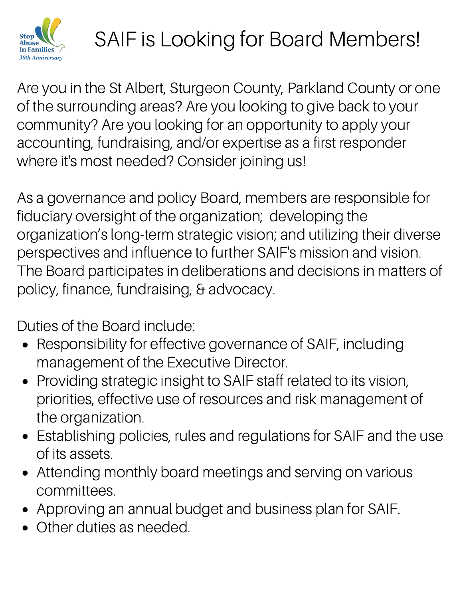

## SAIF is Looking for Board Members!

Are you in the St Albert, Sturgeon County, Parkland County or one of the surrounding areas? Are you looking to give back to your community? Are you looking for an opportunity to apply your accounting, fundraising, and/or expertise as a first responder where it's most needed? Consider joining us!

As a governance and policy Board, members are responsible for fiduciary oversight of the organization; developing the organization's long-term strategic vision; and utilizing their diverse perspectives and influence to further SAIF's mission and vision. The Board participates in deliberations and decisions in matters of policy, finance, fundraising, & advocacy.

Duties of the Board include:

- Responsibility for effective governance of SAIF, including management of the Executive Director.
- Providing strategic insight to SAIF staff related to its vision, priorities, effective use of resources and risk management of the organization.
- Establishing policies, rules and regulations for SAIF and the use of its assets.
- Attending monthly board meetings and serving on various committees.
- Approving an annual budget and business plan for SAIF.
- Other duties as needed.